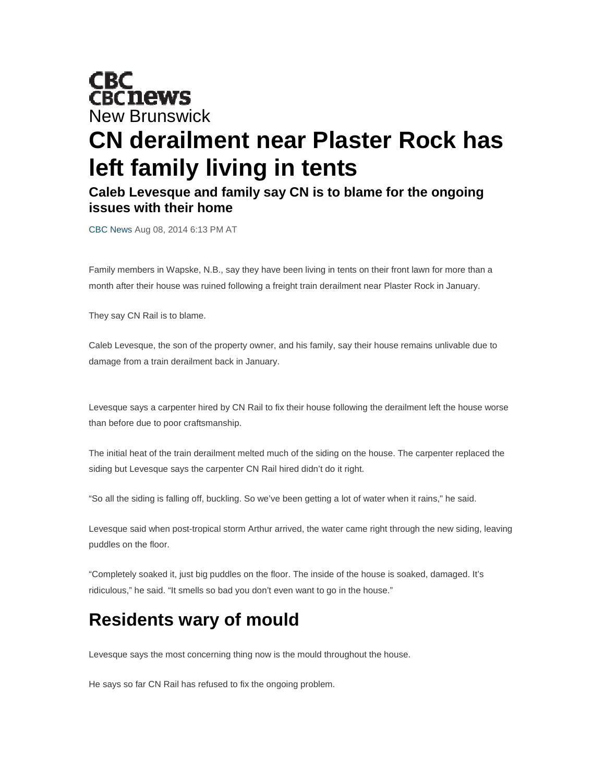## **CBC<br>CBCnews** New Brunswick **CN derailment near Plaster Rock has left family living in tents**

## **Caleb Levesque and family say CN is to blame for the ongoing issues with their home**

CBC News Aug 08, 2014 6:13 PM AT

Family members in Wapske, N.B., say they have been living in tents on their front lawn for more than a month after their house was ruined following a freight train derailment near Plaster Rock in January.

They say CN Rail is to blame.

Caleb Levesque, the son of the property owner, and his family, say their house remains unlivable due to damage from a train derailment back in January.

Levesque says a carpenter hired by CN Rail to fix their house following the derailment left the house worse than before due to poor craftsmanship.

The initial heat of the train derailment melted much of the siding on the house. The carpenter replaced the siding but Levesque says the carpenter CN Rail hired didn't do it right.

"So all the siding is falling off, buckling. So we've been getting a lot of water when it rains," he said.

Levesque said when post-tropical storm Arthur arrived, the water came right through the new siding, leaving puddles on the floor.

"Completely soaked it, just big puddles on the floor. The inside of the house is soaked, damaged. It's ridiculous," he said. "It smells so bad you don't even want to go in the house."

## **Residents wary of mould**

Levesque says the most concerning thing now is the mould throughout the house.

He says so far CN Rail has refused to fix the ongoing problem.